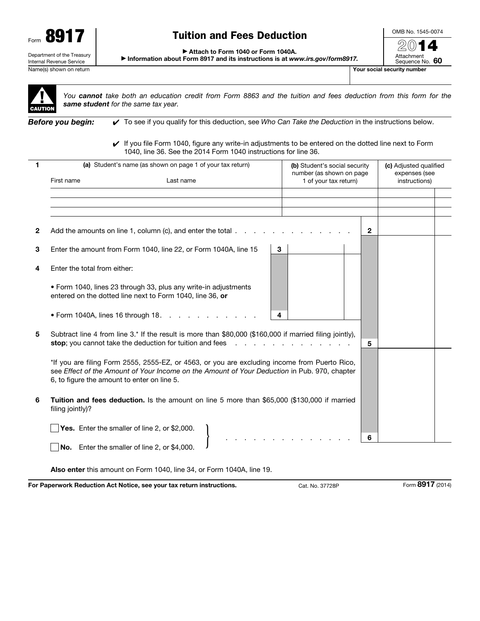

# Tuition and Fees Deduction

OMB No. 1545-0074 2014

Attachment

▶ Attach to Form 1040 or Form 1040A.

▶ Information about Form 8917 and its instructions is at *www.irs.gov/form8917.*

Sequence No. 60 Name(s) shown on return The Contract of the Contract of the Contract of the Contract of the Contract of the Contract of The Contract of The Contract of The Contract of The Contract of The Contract of The Contract of The Co



*You cannot take both an education credit from Form 8863 and the tuition and fees deduction from this form for the same student for the same tax year.*

*Before you begin:* ✔ To see if you qualify for this deduction, see *Who Can Take the Deduction* in the instructions below.

✔ If you file Form 1040, figure any write-in adjustments to be entered on the dotted line next to Form 1040, line 36. See the 2014 Form 1040 instructions for line 36.

|              | (a) Student's name (as shown on page 1 of your tax return)                                                                                                                                                                                   | (b) Student's social security                     | (c) Adjusted qualified         |
|--------------|----------------------------------------------------------------------------------------------------------------------------------------------------------------------------------------------------------------------------------------------|---------------------------------------------------|--------------------------------|
|              | First name<br>Last name                                                                                                                                                                                                                      | number (as shown on page<br>1 of your tax return) | expenses (see<br>instructions) |
|              |                                                                                                                                                                                                                                              |                                                   |                                |
|              |                                                                                                                                                                                                                                              |                                                   |                                |
| $\mathbf{2}$ | Add the amounts on line 1, column (c), and enter the total $\ldots$                                                                                                                                                                          | $\mathbf{2}$                                      |                                |
| 3            | Enter the amount from Form 1040, line 22, or Form 1040A, line 15<br>3                                                                                                                                                                        |                                                   |                                |
| 4            | Enter the total from either:                                                                                                                                                                                                                 |                                                   |                                |
|              | • Form 1040, lines 23 through 33, plus any write-in adjustments<br>entered on the dotted line next to Form 1040, line 36, or                                                                                                                 |                                                   |                                |
|              | • Form 1040A, lines 16 through $18. \ldots$ .<br>4                                                                                                                                                                                           |                                                   |                                |
| 5            | Subtract line 4 from line 3.* If the result is more than \$80,000 (\$160,000 if married filing jointly),<br>stop; you cannot take the deduction for tuition and fees                                                                         | 5                                                 |                                |
|              | *If you are filing Form 2555, 2555-EZ, or 4563, or you are excluding income from Puerto Rico,<br>see Effect of the Amount of Your Income on the Amount of Your Deduction in Pub. 970, chapter<br>6, to figure the amount to enter on line 5. |                                                   |                                |
| 6            | Tuition and fees deduction. Is the amount on line 5 more than \$65,000 (\$130,000 if married<br>filing jointly)?                                                                                                                             |                                                   |                                |
|              | Yes. Enter the smaller of line 2, or \$2,000.                                                                                                                                                                                                |                                                   |                                |
|              | No. Enter the smaller of line 2, or \$4,000.                                                                                                                                                                                                 | 6                                                 |                                |

Also enter this amount on Form 1040, line 34, or Form 1040A, line 19.

For Paperwork Reduction Act Notice, see your tax return instructions. Cat. No. 37728P Form 8917 (2014)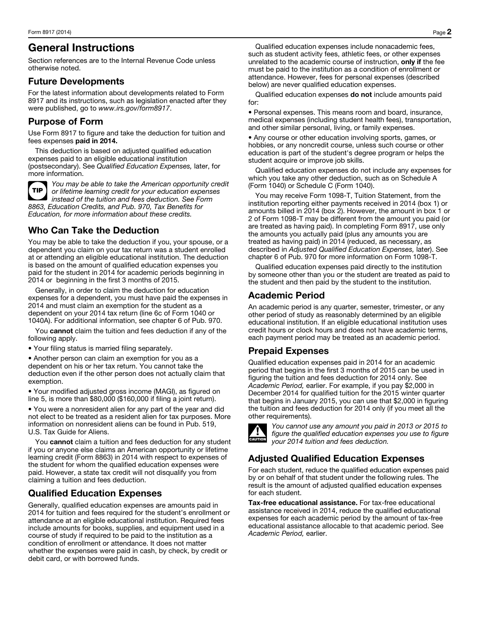# General Instructions

Section references are to the Internal Revenue Code unless otherwise noted.

#### Future Developments

For the latest information about developments related to Form 8917 and its instructions, such as legislation enacted after they were published, go to *www.irs.gov/form8917*.

### Purpose of Form

Use Form 8917 to figure and take the deduction for tuition and fees expenses paid in 2014.

This deduction is based on adjusted qualified education expenses paid to an eligible educational institution (postsecondary). See *Qualified Education Expenses,* later, for more information.



*You may be able to take the American opportunity credit or lifetime learning credit for your education expenses instead of the tuition and fees deduction. See Form 8863, Education Credits, and Pub. 970, Tax Benefits for Education, for more information about these credits.*

## Who Can Take the Deduction

You may be able to take the deduction if you, your spouse, or a dependent you claim on your tax return was a student enrolled at or attending an eligible educational institution. The deduction is based on the amount of qualified education expenses you paid for the student in 2014 for academic periods beginning in 2014 or beginning in the first 3 months of 2015.

Generally, in order to claim the deduction for education expenses for a dependent, you must have paid the expenses in 2014 and must claim an exemption for the student as a dependent on your 2014 tax return (line 6c of Form 1040 or 1040A). For additional information, see chapter 6 of Pub. 970.

You cannot claim the tuition and fees deduction if any of the following apply.

• Your filing status is married filing separately.

• Another person can claim an exemption for you as a dependent on his or her tax return. You cannot take the deduction even if the other person does not actually claim that exemption.

• Your modified adjusted gross income (MAGI), as figured on line 5, is more than \$80,000 (\$160,000 if filing a joint return).

• You were a nonresident alien for any part of the year and did not elect to be treated as a resident alien for tax purposes. More information on nonresident aliens can be found in Pub. 519, U.S. Tax Guide for Aliens.

You cannot claim a tuition and fees deduction for any student if you or anyone else claims an American opportunity or lifetime learning credit (Form 8863) in 2014 with respect to expenses of the student for whom the qualified education expenses were paid. However, a state tax credit will not disqualify you from claiming a tuition and fees deduction.

#### Qualified Education Expenses

Generally, qualified education expenses are amounts paid in 2014 for tuition and fees required for the student's enrollment or attendance at an eligible educational institution. Required fees include amounts for books, supplies, and equipment used in a course of study if required to be paid to the institution as a condition of enrollment or attendance. It does not matter whether the expenses were paid in cash, by check, by credit or debit card, or with borrowed funds.

Qualified education expenses include nonacademic fees, such as student activity fees, athletic fees, or other expenses unrelated to the academic course of instruction, only if the fee must be paid to the institution as a condition of enrollment or attendance. However, fees for personal expenses (described below) are never qualified education expenses.

Qualified education expenses do not include amounts paid for:

• Personal expenses. This means room and board, insurance, medical expenses (including student health fees), transportation, and other similar personal, living, or family expenses.

• Any course or other education involving sports, games, or hobbies, or any noncredit course, unless such course or other education is part of the student's degree program or helps the student acquire or improve job skills.

Qualified education expenses do not include any expenses for which you take any other deduction, such as on Schedule A (Form 1040) or Schedule C (Form 1040).

You may receive Form 1098-T, Tuition Statement, from the institution reporting either payments received in 2014 (box 1) or amounts billed in 2014 (box 2). However, the amount in box 1 or 2 of Form 1098-T may be different from the amount you paid (or are treated as having paid). In completing Form 8917, use only the amounts you actually paid (plus any amounts you are treated as having paid) in 2014 (reduced, as necessary, as described in *Adjusted Qualified Education Expenses,* later). See chapter 6 of Pub. 970 for more information on Form 1098-T.

Qualified education expenses paid directly to the institution by someone other than you or the student are treated as paid to the student and then paid by the student to the institution.

#### Academic Period

An academic period is any quarter, semester, trimester, or any other period of study as reasonably determined by an eligible educational institution. If an eligible educational institution uses credit hours or clock hours and does not have academic terms, each payment period may be treated as an academic period.

#### Prepaid Expenses

Qualified education expenses paid in 2014 for an academic period that begins in the first 3 months of 2015 can be used in figuring the tuition and fees deduction for 2014 only. See *Academic Period,* earlier. For example, if you pay \$2,000 in December 2014 for qualified tuition for the 2015 winter quarter that begins in January 2015, you can use that \$2,000 in figuring the tuition and fees deduction for 2014 only (if you meet all the other requirements).



*You cannot use any amount you paid in 2013 or 2015 to figure the qualified education expenses you use to figure your 2014 tuition and fees deduction.*

# Adjusted Qualified Education Expenses

For each student, reduce the qualified education expenses paid by or on behalf of that student under the following rules. The result is the amount of adjusted qualified education expenses for each student.

Tax-free educational assistance. For tax-free educational assistance received in 2014, reduce the qualified educational expenses for each academic period by the amount of tax-free educational assistance allocable to that academic period. See *Academic Period,* earlier.